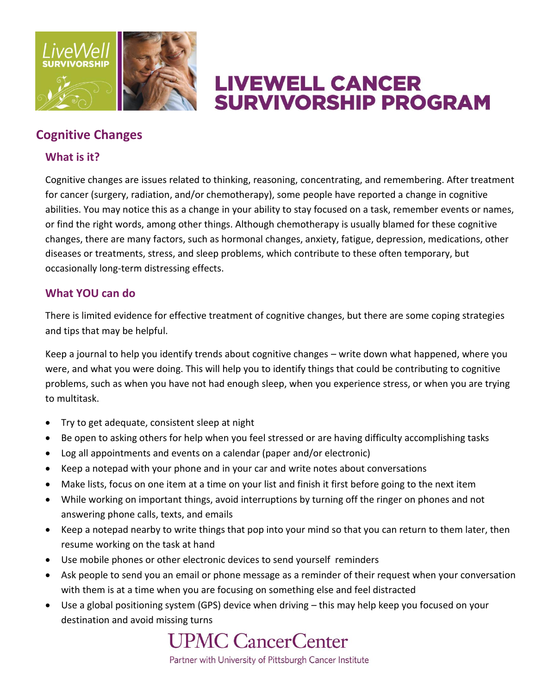

# **LIVEWELL CANCER SURVIVORSHIP PROGRAM**

### **Cognitive Changes**

### **What is it?**

Cognitive changes are issues related to thinking, reasoning, concentrating, and remembering. After treatment for cancer (surgery, radiation, and/or chemotherapy), some people have reported a change in cognitive abilities. You may notice this as a change in your ability to stay focused on a task, remember events or names, or find the right words, among other things. Although chemotherapy is usually blamed for these cognitive changes, there are many factors, such as hormonal changes, anxiety, fatigue, depression, medications, other diseases or treatments, stress, and sleep problems, which contribute to these often temporary, but occasionally long-term distressing effects.

### **What YOU can do**

There is limited evidence for effective treatment of cognitive changes, but there are some coping strategies and tips that may be helpful.

Keep a journal to help you identify trends about cognitive changes – write down what happened, where you were, and what you were doing. This will help you to identify things that could be contributing to cognitive problems, such as when you have not had enough sleep, when you experience stress, or when you are trying to multitask.

- Try to get adequate, consistent sleep at night
- Be open to asking others for help when you feel stressed or are having difficulty accomplishing tasks
- Log all appointments and events on a calendar (paper and/or electronic)
- Keep a notepad with your phone and in your car and write notes about conversations
- Make lists, focus on one item at a time on your list and finish it first before going to the next item
- While working on important things, avoid interruptions by turning off the ringer on phones and not answering phone calls, texts, and emails
- Keep a notepad nearby to write things that pop into your mind so that you can return to them later, then resume working on the task at hand
- Use mobile phones or other electronic devices to send yourself reminders
- Ask people to send you an email or phone message as a reminder of their request when your conversation with them is at a time when you are focusing on something else and feel distracted
- Use a global positioning system (GPS) device when driving this may help keep you focused on your destination and avoid missing turns

## **UPMC CancerCenter**

Partner with University of Pittsburgh Cancer Institute